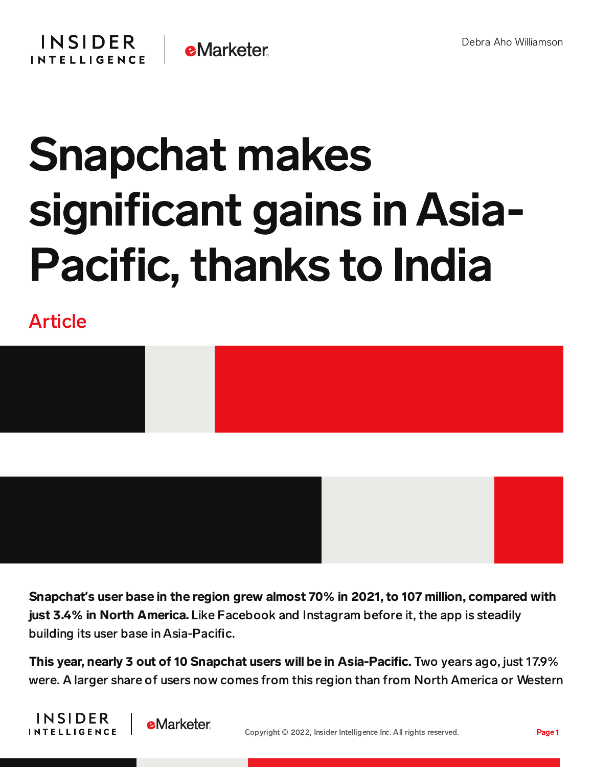

## Snapchat makes significant gains in Asia-Pacific, thanks to India

Article





This year, nearly 3 out of 10 Snapchat users will be in Asia-Pacific. Two years ago, just 17.9% were. A larger share of users now comes from this region than from North America or Western



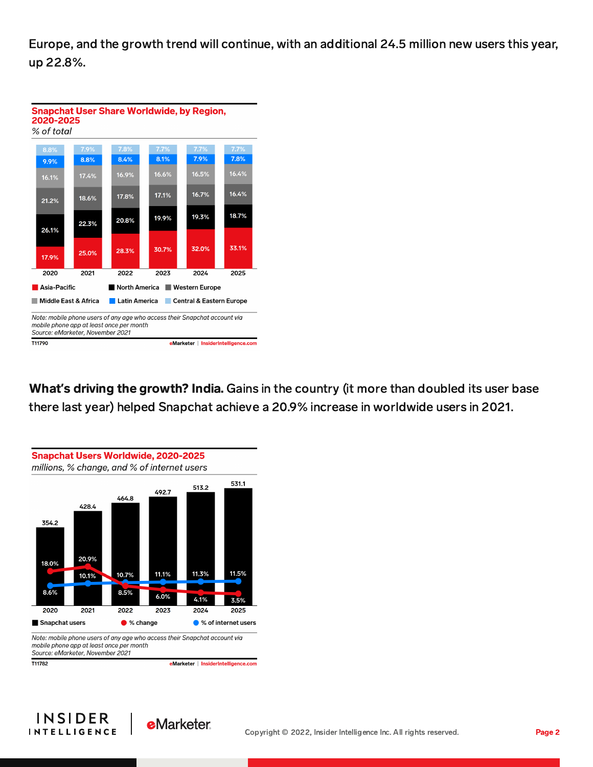Europe, and the growth trend will continue, with an additional 24.5 million new users this year, up 22.8%.



What**'**s driving the growth? India. Gains in the country (it more than doubled its user base there last year) helped Snapchat achieve a 20.9% increase in worldwide users in 2021.



mobile phone app at least once per month Source: eMarketer, November 2021

T11782

eMarketer | InsiderIntelligence.com